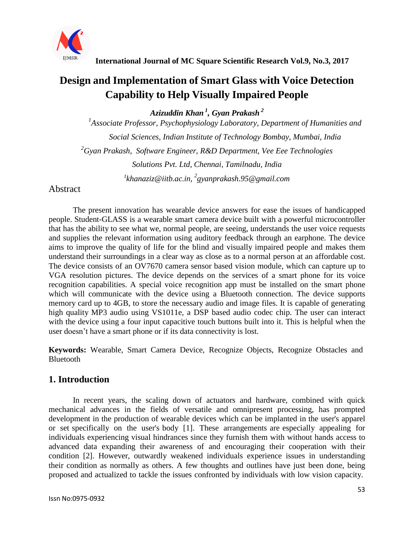

# **Design and Implementation of Smart Glass with Voice Detection Capability to Help Visually Impaired People**

*Azizuddin Khan <sup>1</sup> , Gyan Prakash <sup>2</sup>*

*1 Associate Professor, Psychophysiology Laboratory, Department of Humanities and Social Sciences, Indian Institute of Technology Bombay, Mumbai, India <sup>2</sup>Gyan Prakash, Software Engineer, R&D Department, Vee Eee Technologies Solutions Pvt. Ltd, Chennai, Tamilnadu, India 1 [khanaziz@iitb.ac.in,](mailto:1khanaziz@iitb.ac.in) <sup>2</sup> [gyanprakash.95@gmail.com](mailto:2gyanprakash.95@gmail.com)*

### **Abstract**

The present innovation has wearable device answers for ease the issues of handicapped people. Student-GLASS is a wearable smart camera device built with a powerful microcontroller that has the ability to see what we, normal people, are seeing, understands the user voice requests and supplies the relevant information using auditory feedback through an earphone. The device aims to improve the quality of life for the blind and visually impaired people and makes them understand their surroundings in a clear way as close as to a normal person at an affordable cost. The device consists of an OV7670 camera sensor based vision module, which can capture up to VGA resolution pictures. The device depends on the services of a smart phone for its voice recognition capabilities. A special voice recognition app must be installed on the smart phone which will communicate with the device using a Bluetooth connection. The device supports memory card up to 4GB, to store the necessary audio and image files. It is capable of generating high quality MP3 audio using VS1011e, a DSP based audio codec chip. The user can interact with the device using a four input capacitive touch buttons built into it. This is helpful when the user doesn't have a smart phone or if its data connectivity is lost.

**Keywords:** Wearable, Smart Camera Device, Recognize Objects, Recognize Obstacles and Bluetooth

## **1. Introduction**

In recent years, the scaling down of actuators and hardware, combined with quick mechanical advances in the fields of versatile and omnipresent processing, has prompted development in the production of wearable devices which can be implanted in the user's apparel or set specifically on the user's body [1]. These arrangements are especially appealing for individuals experiencing visual hindrances since they furnish them with without hands access to advanced data expanding their awareness of and encouraging their cooperation with their condition [2]. However, outwardly weakened individuals experience issues in understanding their condition as normally as others. A few thoughts and outlines have just been done, being proposed and actualized to tackle the issues confronted by individuals with low vision capacity.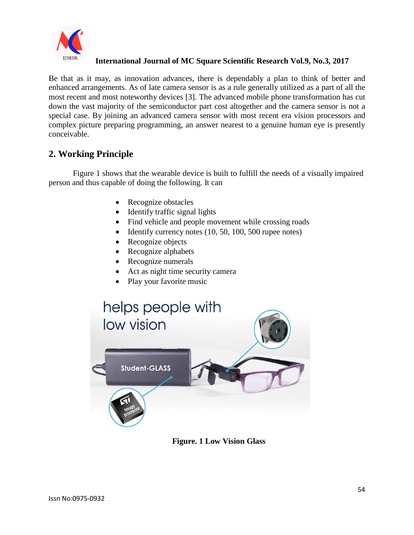

Be that as it may, as innovation advances, there is dependably a plan to think of better and enhanced arrangements. As of late camera sensor is as a rule generally utilized as a part of all the most recent and most noteworthy devices [3]. The advanced mobile phone transformation has cut down the vast majority of the semiconductor part cost altogether and the camera sensor is not a special case. By joining an advanced camera sensor with most recent era vision processors and complex picture preparing programming, an answer nearest to a genuine human eye is presently conceivable.

## **2. Working Principle**

Figure 1 shows that the wearable device is built to fulfill the needs of a visually impaired person and thus capable of doing the following. It can

- Recognize obstacles
- Identify traffic signal lights
- Find vehicle and people movement while crossing roads
- $\bullet$  Identify currency notes (10, 50, 100, 500 rupee notes)
- Recognize objects
- Recognize alphabets
- Recognize numerals
- Act as night time security camera
- Play your favorite music



**Figure. 1 Low Vision Glass**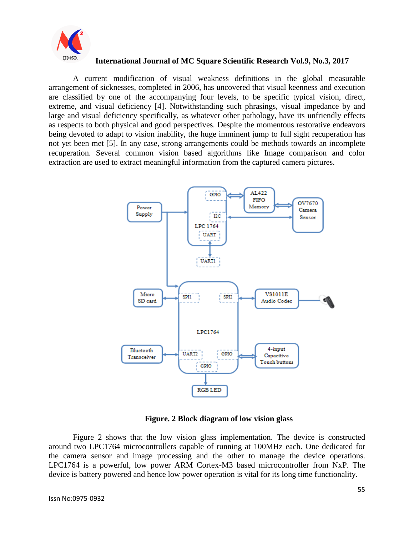

A current modification of visual weakness definitions in the global measurable arrangement of sicknesses, completed in 2006, has uncovered that visual keenness and execution are classified by one of the accompanying four levels, to be specific typical vision, direct, extreme, and visual deficiency [4]. Notwithstanding such phrasings, visual impedance by and large and visual deficiency specifically, as whatever other pathology, have its unfriendly effects as respects to both physical and good perspectives. Despite the momentous restorative endeavors being devoted to adapt to vision inability, the huge imminent jump to full sight recuperation has not yet been met [5]. In any case, strong arrangements could be methods towards an incomplete recuperation. Several common vision based algorithms like Image comparison and color extraction are used to extract meaningful information from the captured camera pictures.



#### **Figure. 2 Block diagram of low vision glass**

Figure 2 shows that the low vision glass implementation. The device is constructed around two LPC1764 microcontrollers capable of running at 100MHz each. One dedicated for the camera sensor and image processing and the other to manage the device operations. LPC1764 is a powerful, low power ARM Cortex-M3 based microcontroller from NxP. The device is battery powered and hence low power operation is vital for its long time functionality.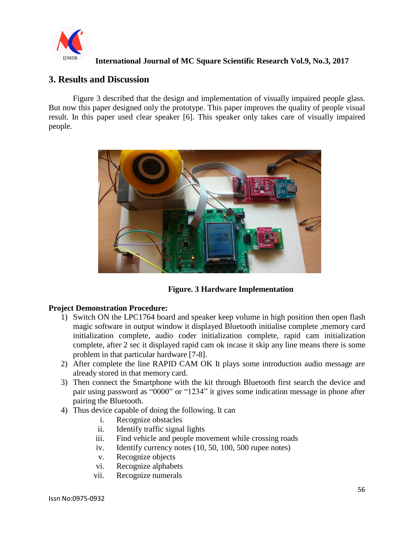

## **3. Results and Discussion**

Figure 3 described that the design and implementation of visually impaired people glass. But now this paper designed only the prototype. This paper improves the quality of people visual result. In this paper used clear speaker [6]. This speaker only takes care of visually impaired people.



**Figure. 3 Hardware Implementation**

#### **Project Demonstration Procedure:**

- 1) Switch ON the LPC1764 board and speaker keep volume in high position then open flash magic software in output window it displayed Bluetooth initialise complete ,memory card initialization complete, audio coder initialization complete, rapid cam initialization complete, after 2 sec it displayed rapid cam ok incase it skip any line means there is some problem in that particular hardware [7-8].
- 2) After complete the line RAPID CAM OK It plays some introduction audio message are already stored in that memory card.
- 3) Then connect the Smartphone with the kit through Bluetooth first search the device and pair using password as "0000" or "1234" it gives some indication message in phone after pairing the Bluetooth.
- 4) Thus device capable of doing the following. It can
	- i. Recognize obstacles
	- ii. Identify traffic signal lights
	- iii. Find vehicle and people movement while crossing roads
	- iv. Identify currency notes (10, 50, 100, 500 rupee notes)
	- v. Recognize objects
	- vi. Recognize alphabets
	- vii. Recognize numerals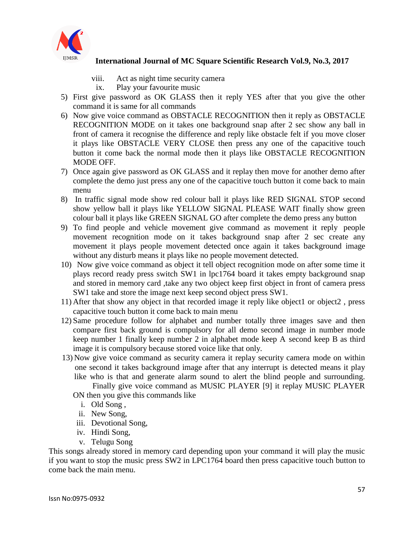

- viii. Act as night time security camera
- ix. Play your favourite music
- 5) First give password as OK GLASS then it reply YES after that you give the other command it is same for all commands
- 6) Now give voice command as OBSTACLE RECOGNITION then it reply as OBSTACLE RECOGNITION MODE on it takes one background snap after 2 sec show any ball in front of camera it recognise the difference and reply like obstacle felt if you move closer it plays like OBSTACLE VERY CLOSE then press any one of the capacitive touch button it come back the normal mode then it plays like OBSTACLE RECOGNITION MODE OFF.
- 7) Once again give password as OK GLASS and it replay then move for another demo after complete the demo just press any one of the capacitive touch button it come back to main menu
- 8) In traffic signal mode show red colour ball it plays like RED SIGNAL STOP second show yellow ball it plays like YELLOW SIGNAL PLEASE WAIT finally show green colour ball it plays like GREEN SIGNAL GO after complete the demo press any button
- 9) To find people and vehicle movement give command as movement it reply people movement recognition mode on it takes background snap after 2 sec create any movement it plays people movement detected once again it takes background image without any disturb means it plays like no people movement detected.
- 10) Now give voice command as object it tell object recognition mode on after some time it plays record ready press switch SW1 in lpc1764 board it takes empty background snap and stored in memory card ,take any two object keep first object in front of camera press SW1 take and store the image next keep second object press SW1.
- 11) After that show any object in that recorded image it reply like object1 or object2 , press capacitive touch button it come back to main menu
- 12) Same procedure follow for alphabet and number totally three images save and then compare first back ground is compulsory for all demo second image in number mode keep number 1 finally keep number 2 in alphabet mode keep A second keep B as third image it is compulsory because stored voice like that only.
- 13) Now give voice command as security camera it replay security camera mode on within one second it takes background image after that any interrupt is detected means it play like who is that and generate alarm sound to alert the blind people and surrounding.
	- Finally give voice command as MUSIC PLAYER [9] it replay MUSIC PLAYER ON then you give this commands like
		- i. Old Song ,
		- ii. New Song,
	- iii. Devotional Song,
	- iv. Hindi Song,
	- v. Telugu Song

This songs already stored in memory card depending upon your command it will play the music if you want to stop the music press SW2 in LPC1764 board then press capacitive touch button to come back the main menu.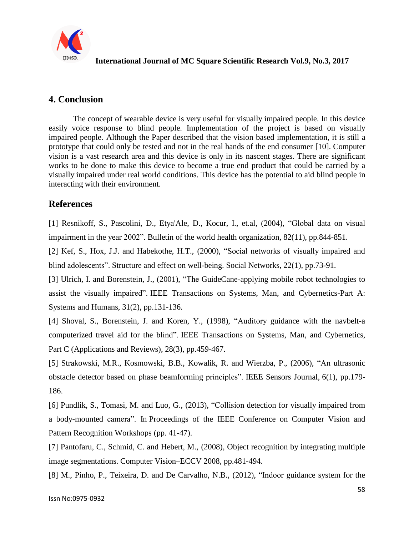

## **4. Conclusion**

The concept of wearable device is very useful for visually impaired people. In this device easily voice response to blind people. Implementation of the project is based on visually impaired people. Although the Paper described that the vision based implementation, it is still a prototype that could only be tested and not in the real hands of the end consumer [10]. Computer vision is a vast research area and this device is only in its nascent stages. There are significant works to be done to make this device to become a true end product that could be carried by a visually impaired under real world conditions. This device has the potential to aid blind people in interacting with their environment.

## **References**

[1] Resnikoff, S., Pascolini, D., Etya'Ale, D., Kocur, I., et.al, (2004), "Global data on visual impairment in the year 2002". Bulletin of the world health organization, 82(11), pp.844-851.

[2] Kef, S., Hox, J.J. and Habekothe, H.T., (2000), "Social networks of visually impaired and blind adolescents". Structure and effect on well-being. Social Networks, 22(1), pp.73-91.

[3] Ulrich, I. and Borenstein, J., (2001), "The GuideCane-applying mobile robot technologies to assist the visually impaired". IEEE Transactions on Systems, Man, and Cybernetics-Part A: Systems and Humans, 31(2), pp.131-136.

[4] Shoval, S., Borenstein, J. and Koren, Y., (1998), "Auditory guidance with the navbelt-a computerized travel aid for the blind". IEEE Transactions on Systems, Man, and Cybernetics, Part C (Applications and Reviews), 28(3), pp.459-467.

[5] Strakowski, M.R., Kosmowski, B.B., Kowalik, R. and Wierzba, P., (2006), "An ultrasonic obstacle detector based on phase beamforming principles". IEEE Sensors Journal, 6(1), pp.179- 186.

[6] Pundlik, S., Tomasi, M. and Luo, G., (2013), "Collision detection for visually impaired from a body-mounted camera". In Proceedings of the IEEE Conference on Computer Vision and Pattern Recognition Workshops (pp. 41-47).

[7] Pantofaru, C., Schmid, C. and Hebert, M., (2008), Object recognition by integrating multiple image segmentations. Computer Vision–ECCV 2008, pp.481-494.

[8] M., Pinho, P., Teixeira, D. and De Carvalho, N.B., (2012), "Indoor guidance system for the